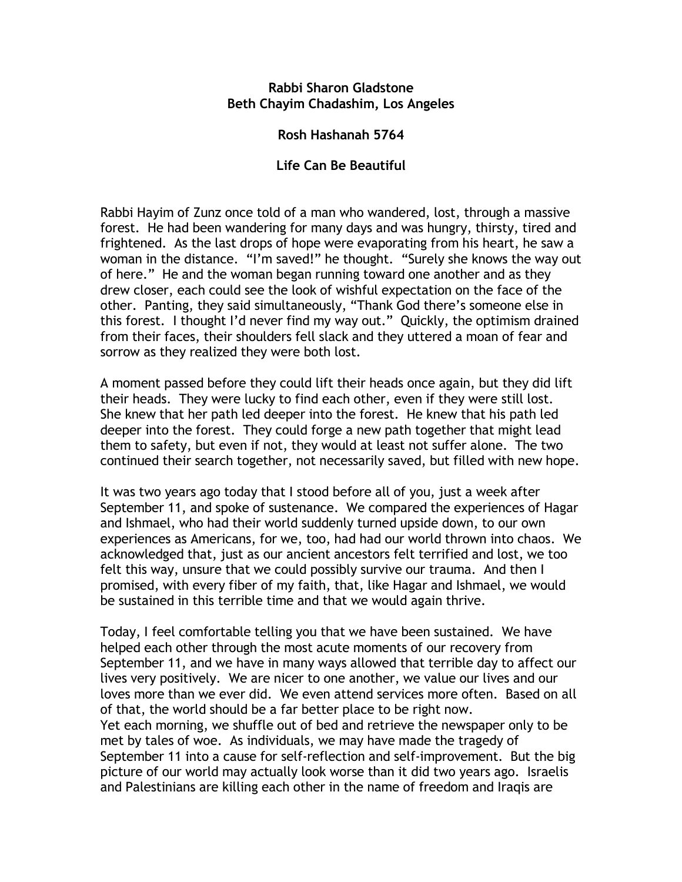## **Rabbi Sharon Gladstone Beth Chayim Chadashim, Los Angeles**

## **Rosh Hashanah 5764**

## **Life Can Be Beautiful**

Rabbi Hayim of Zunz once told of a man who wandered, lost, through a massive forest. He had been wandering for many days and was hungry, thirsty, tired and frightened. As the last drops of hope were evaporating from his heart, he saw a woman in the distance. "I'm saved!" he thought. "Surely she knows the way out of here." He and the woman began running toward one another and as they drew closer, each could see the look of wishful expectation on the face of the other. Panting, they said simultaneously, "Thank God there's someone else in this forest. I thought I'd never find my way out." Quickly, the optimism drained from their faces, their shoulders fell slack and they uttered a moan of fear and sorrow as they realized they were both lost.

A moment passed before they could lift their heads once again, but they did lift their heads. They were lucky to find each other, even if they were still lost. She knew that her path led deeper into the forest. He knew that his path led deeper into the forest. They could forge a new path together that might lead them to safety, but even if not, they would at least not suffer alone. The two continued their search together, not necessarily saved, but filled with new hope.

It was two years ago today that I stood before all of you, just a week after September 11, and spoke of sustenance. We compared the experiences of Hagar and Ishmael, who had their world suddenly turned upside down, to our own experiences as Americans, for we, too, had had our world thrown into chaos. We acknowledged that, just as our ancient ancestors felt terrified and lost, we too felt this way, unsure that we could possibly survive our trauma. And then I promised, with every fiber of my faith, that, like Hagar and Ishmael, we would be sustained in this terrible time and that we would again thrive.

Today, I feel comfortable telling you that we have been sustained. We have helped each other through the most acute moments of our recovery from September 11, and we have in many ways allowed that terrible day to affect our lives very positively. We are nicer to one another, we value our lives and our loves more than we ever did. We even attend services more often. Based on all of that, the world should be a far better place to be right now. Yet each morning, we shuffle out of bed and retrieve the newspaper only to be met by tales of woe. As individuals, we may have made the tragedy of September 11 into a cause for self-reflection and self-improvement. But the big picture of our world may actually look worse than it did two years ago. Israelis and Palestinians are killing each other in the name of freedom and Iraqis are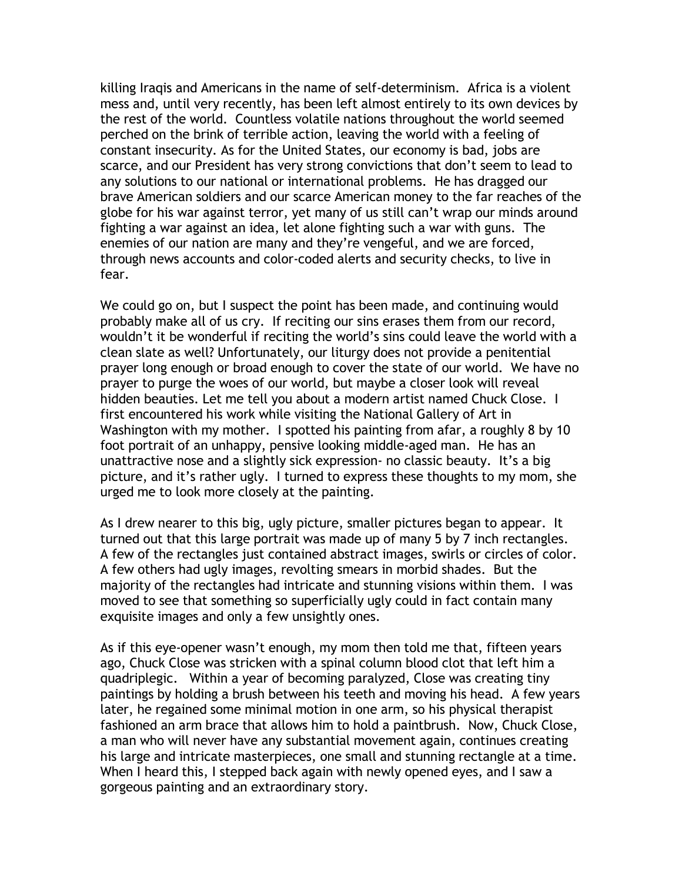killing Iraqis and Americans in the name of self-determinism. Africa is a violent mess and, until very recently, has been left almost entirely to its own devices by the rest of the world. Countless volatile nations throughout the world seemed perched on the brink of terrible action, leaving the world with a feeling of constant insecurity. As for the United States, our economy is bad, jobs are scarce, and our President has very strong convictions that don't seem to lead to any solutions to our national or international problems. He has dragged our brave American soldiers and our scarce American money to the far reaches of the globe for his war against terror, yet many of us still can't wrap our minds around fighting a war against an idea, let alone fighting such a war with guns. The enemies of our nation are many and they're vengeful, and we are forced, through news accounts and color-coded alerts and security checks, to live in fear.

We could go on, but I suspect the point has been made, and continuing would probably make all of us cry. If reciting our sins erases them from our record, wouldn't it be wonderful if reciting the world's sins could leave the world with a clean slate as well? Unfortunately, our liturgy does not provide a penitential prayer long enough or broad enough to cover the state of our world. We have no prayer to purge the woes of our world, but maybe a closer look will reveal hidden beauties. Let me tell you about a modern artist named Chuck Close. I first encountered his work while visiting the National Gallery of Art in Washington with my mother. I spotted his painting from afar, a roughly 8 by 10 foot portrait of an unhappy, pensive looking middle-aged man. He has an unattractive nose and a slightly sick expression- no classic beauty. It's a big picture, and it's rather ugly. I turned to express these thoughts to my mom, she urged me to look more closely at the painting.

As I drew nearer to this big, ugly picture, smaller pictures began to appear. It turned out that this large portrait was made up of many 5 by 7 inch rectangles. A few of the rectangles just contained abstract images, swirls or circles of color. A few others had ugly images, revolting smears in morbid shades. But the majority of the rectangles had intricate and stunning visions within them. I was moved to see that something so superficially ugly could in fact contain many exquisite images and only a few unsightly ones.

As if this eye-opener wasn't enough, my mom then told me that, fifteen years ago, Chuck Close was stricken with a spinal column blood clot that left him a quadriplegic. Within a year of becoming paralyzed, Close was creating tiny paintings by holding a brush between his teeth and moving his head. A few years later, he regained some minimal motion in one arm, so his physical therapist fashioned an arm brace that allows him to hold a paintbrush. Now, Chuck Close, a man who will never have any substantial movement again, continues creating his large and intricate masterpieces, one small and stunning rectangle at a time. When I heard this, I stepped back again with newly opened eyes, and I saw a gorgeous painting and an extraordinary story.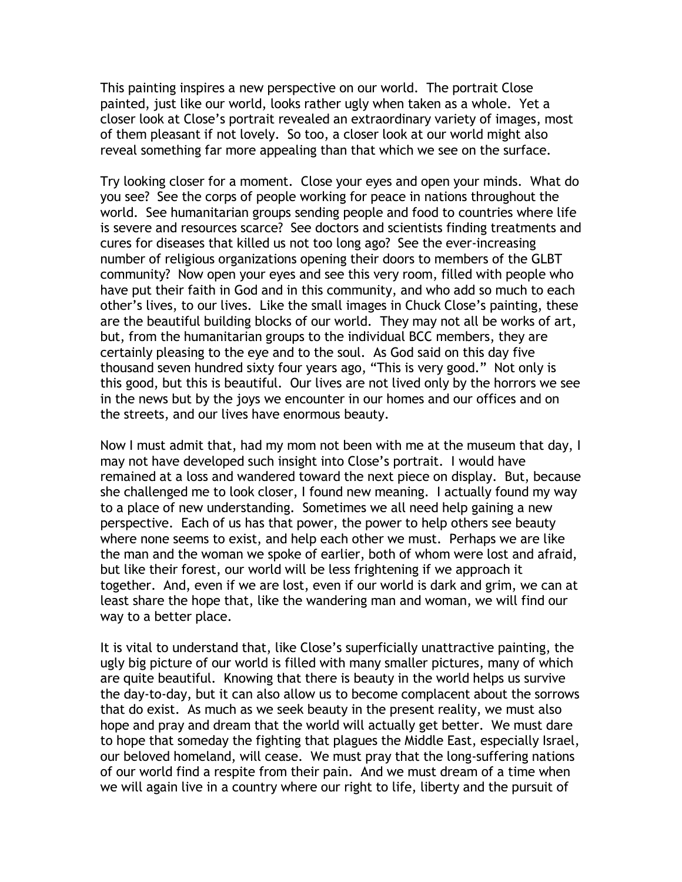This painting inspires a new perspective on our world. The portrait Close painted, just like our world, looks rather ugly when taken as a whole. Yet a closer look at Close's portrait revealed an extraordinary variety of images, most of them pleasant if not lovely. So too, a closer look at our world might also reveal something far more appealing than that which we see on the surface.

Try looking closer for a moment. Close your eyes and open your minds. What do you see? See the corps of people working for peace in nations throughout the world. See humanitarian groups sending people and food to countries where life is severe and resources scarce? See doctors and scientists finding treatments and cures for diseases that killed us not too long ago? See the ever-increasing number of religious organizations opening their doors to members of the GLBT community? Now open your eyes and see this very room, filled with people who have put their faith in God and in this community, and who add so much to each other's lives, to our lives. Like the small images in Chuck Close's painting, these are the beautiful building blocks of our world. They may not all be works of art, but, from the humanitarian groups to the individual BCC members, they are certainly pleasing to the eye and to the soul. As God said on this day five thousand seven hundred sixty four years ago, "This is very good." Not only is this good, but this is beautiful. Our lives are not lived only by the horrors we see in the news but by the joys we encounter in our homes and our offices and on the streets, and our lives have enormous beauty.

Now I must admit that, had my mom not been with me at the museum that day, I may not have developed such insight into Close's portrait. I would have remained at a loss and wandered toward the next piece on display. But, because she challenged me to look closer, I found new meaning. I actually found my way to a place of new understanding. Sometimes we all need help gaining a new perspective. Each of us has that power, the power to help others see beauty where none seems to exist, and help each other we must. Perhaps we are like the man and the woman we spoke of earlier, both of whom were lost and afraid, but like their forest, our world will be less frightening if we approach it together. And, even if we are lost, even if our world is dark and grim, we can at least share the hope that, like the wandering man and woman, we will find our way to a better place.

It is vital to understand that, like Close's superficially unattractive painting, the ugly big picture of our world is filled with many smaller pictures, many of which are quite beautiful. Knowing that there is beauty in the world helps us survive the day-to-day, but it can also allow us to become complacent about the sorrows that do exist. As much as we seek beauty in the present reality, we must also hope and pray and dream that the world will actually get better. We must dare to hope that someday the fighting that plagues the Middle East, especially Israel, our beloved homeland, will cease. We must pray that the long-suffering nations of our world find a respite from their pain. And we must dream of a time when we will again live in a country where our right to life, liberty and the pursuit of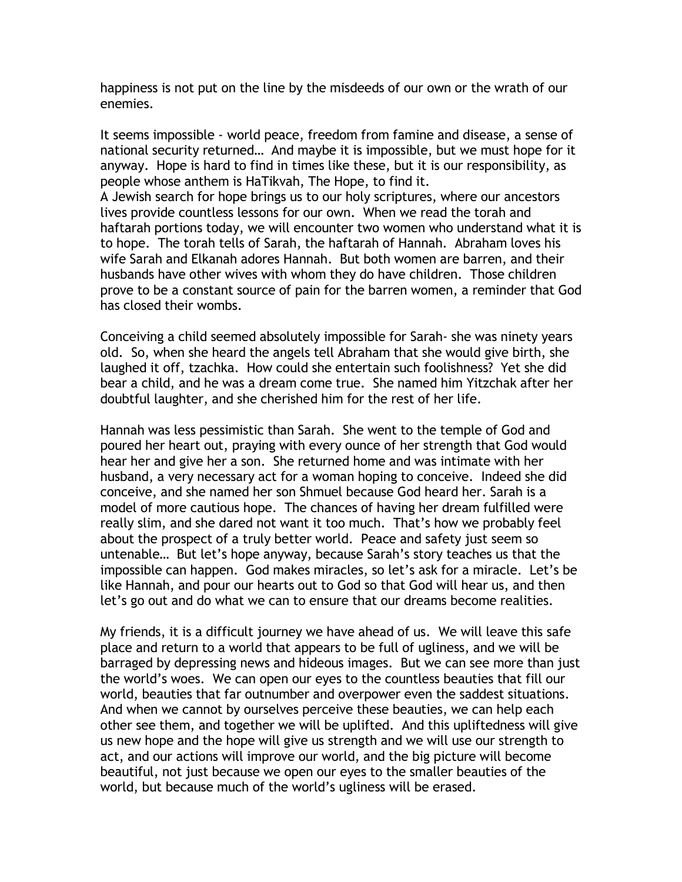happiness is not put on the line by the misdeeds of our own or the wrath of our enemies.

It seems impossible - world peace, freedom from famine and disease, a sense of national security returned… And maybe it is impossible, but we must hope for it anyway. Hope is hard to find in times like these, but it is our responsibility, as people whose anthem is HaTikvah, The Hope, to find it. A Jewish search for hope brings us to our holy scriptures, where our ancestors lives provide countless lessons for our own. When we read the torah and haftarah portions today, we will encounter two women who understand what it is

to hope. The torah tells of Sarah, the haftarah of Hannah. Abraham loves his wife Sarah and Elkanah adores Hannah. But both women are barren, and their husbands have other wives with whom they do have children. Those children prove to be a constant source of pain for the barren women, a reminder that God has closed their wombs.

Conceiving a child seemed absolutely impossible for Sarah- she was ninety years old. So, when she heard the angels tell Abraham that she would give birth, she laughed it off, tzachka. How could she entertain such foolishness? Yet she did bear a child, and he was a dream come true. She named him Yitzchak after her doubtful laughter, and she cherished him for the rest of her life.

Hannah was less pessimistic than Sarah. She went to the temple of God and poured her heart out, praying with every ounce of her strength that God would hear her and give her a son. She returned home and was intimate with her husband, a very necessary act for a woman hoping to conceive. Indeed she did conceive, and she named her son Shmuel because God heard her. Sarah is a model of more cautious hope. The chances of having her dream fulfilled were really slim, and she dared not want it too much. That's how we probably feel about the prospect of a truly better world. Peace and safety just seem so untenable… But let's hope anyway, because Sarah's story teaches us that the impossible can happen. God makes miracles, so let's ask for a miracle. Let's be like Hannah, and pour our hearts out to God so that God will hear us, and then let's go out and do what we can to ensure that our dreams become realities.

My friends, it is a difficult journey we have ahead of us. We will leave this safe place and return to a world that appears to be full of ugliness, and we will be barraged by depressing news and hideous images. But we can see more than just the world's woes. We can open our eyes to the countless beauties that fill our world, beauties that far outnumber and overpower even the saddest situations. And when we cannot by ourselves perceive these beauties, we can help each other see them, and together we will be uplifted. And this upliftedness will give us new hope and the hope will give us strength and we will use our strength to act, and our actions will improve our world, and the big picture will become beautiful, not just because we open our eyes to the smaller beauties of the world, but because much of the world's ugliness will be erased.